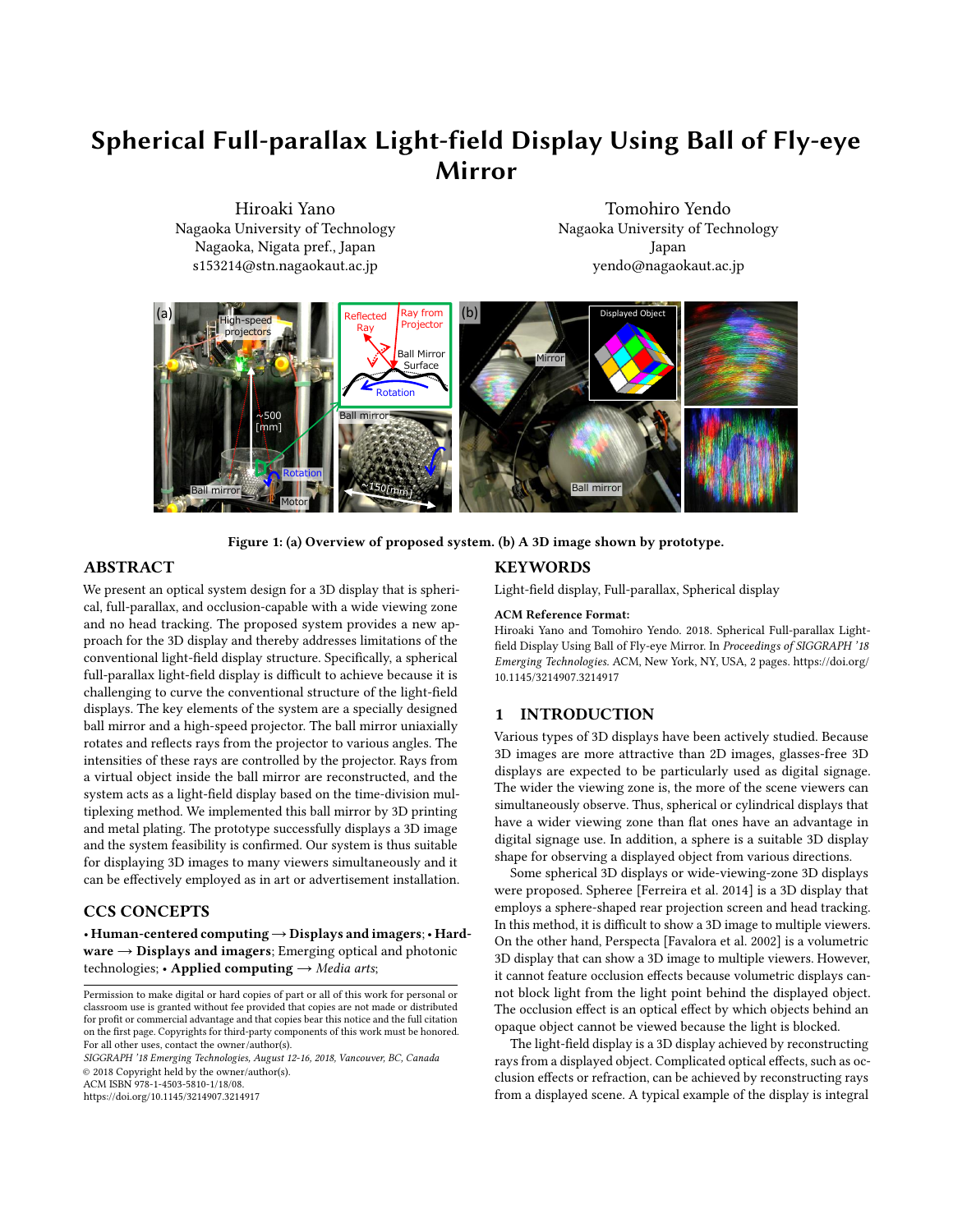# Spherical Full-parallax Light-field Display Using Ball of Fly-eye Mirror

Hiroaki Yano Nagaoka University of Technology Nagaoka, Nigata pref., Japan s153214@stn.nagaokaut.ac.jp

Tomohiro Yendo Nagaoka University of Technology Japan yendo@nagaokaut.ac.jp

<span id="page-0-0"></span>

Figure 1: (a) Overview of proposed system. (b) A 3D image shown by prototype.

### ABSTRACT

We present an optical system design for a 3D display that is spherical, full-parallax, and occlusion-capable with a wide viewing zone and no head tracking. The proposed system provides a new approach for the 3D display and thereby addresses limitations of the conventional light-field display structure. Specifically, a spherical full-parallax light-field display is difficult to achieve because it is challenging to curve the conventional structure of the light-field displays. The key elements of the system are a specially designed ball mirror and a high-speed projector. The ball mirror uniaxially rotates and reflects rays from the projector to various angles. The intensities of these rays are controlled by the projector. Rays from a virtual object inside the ball mirror are reconstructed, and the system acts as a light-field display based on the time-division multiplexing method. We implemented this ball mirror by 3D printing and metal plating. The prototype successfully displays a 3D image and the system feasibility is confirmed. Our system is thus suitable for displaying 3D images to many viewers simultaneously and it can be effectively employed as in art or advertisement installation.

# CCS CONCEPTS

• Human-centered computing→Displays and imagers;• Hard $ware \rightarrow Displays$  and imagers; Emerging optical and photonic technologies; • Applied computing  $\rightarrow$  Media arts;

SIGGRAPH '18 Emerging Technologies, August 12-16, 2018, Vancouver, BC, Canada © 2018 Copyright held by the owner/author(s).

ACM ISBN 978-1-4503-5810-1/18/08.

<https://doi.org/10.1145/3214907.3214917>

## **KEYWORDS**

Light-field display, Full-parallax, Spherical display

#### ACM Reference Format:

Hiroaki Yano and Tomohiro Yendo. 2018. Spherical Full-parallax Lightfield Display Using Ball of Fly-eye Mirror. In Proceedings of SIGGRAPH '18 Emerging Technologies. ACM, New York, NY, USA, [2](#page-1-0) pages. [https://doi.org/](https://doi.org/10.1145/3214907.3214917) [10.1145/3214907.3214917](https://doi.org/10.1145/3214907.3214917)

#### 1 INTRODUCTION

Various types of 3D displays have been actively studied. Because 3D images are more attractive than 2D images, glasses-free 3D displays are expected to be particularly used as digital signage. The wider the viewing zone is, the more of the scene viewers can simultaneously observe. Thus, spherical or cylindrical displays that have a wider viewing zone than flat ones have an advantage in digital signage use. In addition, a sphere is a suitable 3D display shape for observing a displayed object from various directions.

Some spherical 3D displays or wide-viewing-zone 3D displays were proposed. Spheree [\[Ferreira et al.](#page-1-1) [2014\]](#page-1-1) is a 3D display that employs a sphere-shaped rear projection screen and head tracking. In this method, it is difficult to show a 3D image to multiple viewers. On the other hand, Perspecta [\[Favalora et al.](#page-1-2) [2002\]](#page-1-2) is a volumetric 3D display that can show a 3D image to multiple viewers. However, it cannot feature occlusion effects because volumetric displays cannot block light from the light point behind the displayed object. The occlusion effect is an optical effect by which objects behind an opaque object cannot be viewed because the light is blocked.

The light-field display is a 3D display achieved by reconstructing rays from a displayed object. Complicated optical effects, such as occlusion effects or refraction, can be achieved by reconstructing rays from a displayed scene. A typical example of the display is integral

Permission to make digital or hard copies of part or all of this work for personal or classroom use is granted without fee provided that copies are not made or distributed for profit or commercial advantage and that copies bear this notice and the full citation on the first page. Copyrights for third-party components of this work must be honored. For all other uses, contact the owner/author(s).